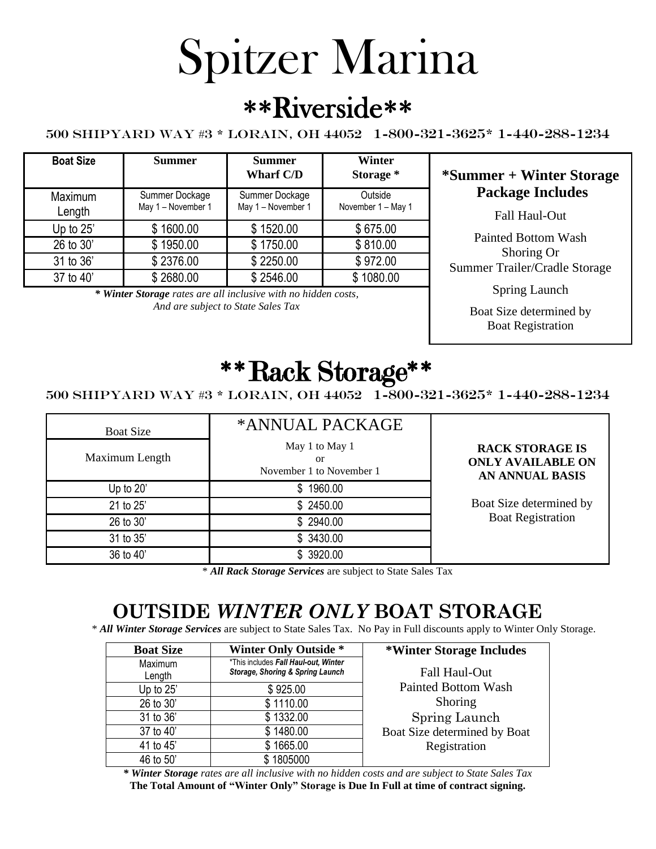# Spitzer Marina

# \*\*Riverside\*\*

#### 500 Shipyard Way #3 \* Lorain, OH 44052 1-800-321-3625\* 1-440-288-1234

| <b>Boat Size</b>  | <b>Summer</b>                        | <b>Summer</b><br><b>Wharf C/D</b>    | <b>Winter</b><br>Storage *    |
|-------------------|--------------------------------------|--------------------------------------|-------------------------------|
| Maximum<br>Length | Summer Dockage<br>May 1 - November 1 | Summer Dockage<br>May 1 - November 1 | Outside<br>November 1 - May 1 |
| Up to 25'         | \$1600.00                            | \$1520.00                            | \$675.00                      |
| 26 to 30'         | \$1950.00                            | \$1750.00                            | \$810.00                      |
| 31 to 36'         | \$2376.00                            | \$2250.00                            | \$972.00                      |
| 37 to 40'         | \$2680.00                            | \$2546.00                            | \$1080.00                     |

*\* Winter Storage rates are all inclusive with no hidden costs, And are subject to State Sales Tax*

#### **Storage \* \*Summer + Winter Storage Package Includes**

Fall Haul-Out

Painted Bottom Wash Shoring Or Summer Trailer/Cradle Storage

Spring Launch

Boat Size determined by Boat Registration

# \*\*Rack Storage\*\*

500 Shipyard Way #3 \* Lorain, OH 44052 1-800-321-3625\* 1-440-288-1234

| <b>Boat Size</b><br>Maximum Length | *ANNUAL PACKAGE<br>May 1 to May 1<br>or<br>November 1 to November 1 | <b>RACK STORAGE IS</b><br><b>ONLY AVAILABLE ON</b><br><b>AN ANNUAL BASIS</b> |
|------------------------------------|---------------------------------------------------------------------|------------------------------------------------------------------------------|
| Up to 20'                          | \$1960.00                                                           |                                                                              |
| 21 to 25'                          | \$2450.00                                                           | Boat Size determined by                                                      |
| 26 to 30'                          | \$2940.00                                                           | <b>Boat Registration</b>                                                     |
| 31 to 35'                          | \$ 3430.00                                                          |                                                                              |
| 36 to 40'                          | \$ 3920.00                                                          |                                                                              |

\* *All Rack Storage Services* are subject to State Sales Tax

## **OUTSIDE** *WINTER ONLY* **BOAT STORAGE**

\* *All Winter Storage Services* are subject to State Sales Tax. No Pay in Full discounts apply to Winter Only Storage.

| <b>Boat Size</b>  | <b>Winter Only Outside *</b>                                             | *Winter Storage Includes     |
|-------------------|--------------------------------------------------------------------------|------------------------------|
| Maximum<br>Length | *This includes Fall Haul-out, Winter<br>Storage, Shoring & Spring Launch | Fall Haul-Out                |
| Up to 25'         | \$925.00                                                                 | <b>Painted Bottom Wash</b>   |
| 26 to 30'         | \$1110.00                                                                | Shoring                      |
| 31 to 36'         | \$1332.00                                                                | Spring Launch                |
| 37 to 40'         | \$1480.00                                                                | Boat Size determined by Boat |
| 41 to 45'         | \$1665.00                                                                | Registration                 |
| 46 to 50'         | \$1805000                                                                |                              |

*\* Winter Storage rates are all inclusive with no hidden costs and are subject to State Sales Tax* **The Total Amount of "Winter Only" Storage is Due In Full at time of contract signing.**